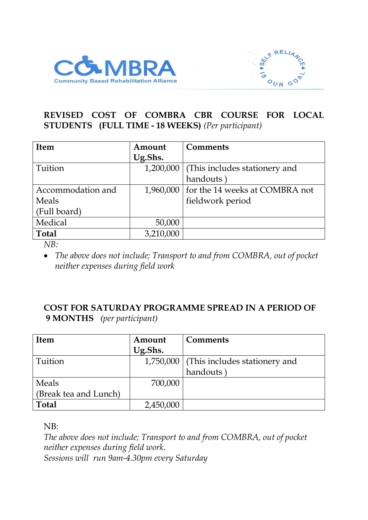



## **REVISED COST OF COMBRA CBR COURSE FOR LOCAL STUDENTS (FULL TIME - 18 WEEKS)** *(Per participant)*

| <b>Item</b>       | Amount    | <b>Comments</b>                          |
|-------------------|-----------|------------------------------------------|
|                   | Ug.Shs.   |                                          |
| Tuition           | 1,200,000 | (This includes stationery and            |
|                   |           | handouts                                 |
| Accommodation and |           | 1,960,000 for the 14 weeks at COMBRA not |
| Meals             |           | fieldwork period                         |
| (Full board)      |           |                                          |
| Medical           | 50,000    |                                          |
| <b>Total</b>      | 3,210,000 |                                          |

*NB:*

• *The above does not include; Transport to and from COMBRA, out of pocket neither expenses during field work*

## **COST FOR SATURDAY PROGRAMME SPREAD IN A PERIOD OF 9 MONTHS** *(per participant)*

| <b>Item</b>           | Amount    | <b>Comments</b>                           |
|-----------------------|-----------|-------------------------------------------|
|                       | Ug.Shs.   |                                           |
| Tuition               |           | 1,750,000   (This includes stationery and |
|                       |           | handouts                                  |
| Meals                 | 700,000   |                                           |
| (Break tea and Lunch) |           |                                           |
| <b>Total</b>          | 2,450,000 |                                           |

NB:

*The above does not include; Transport to and from COMBRA, out of pocket neither expenses during field work. Sessions will run 9am-4.30pm every Saturday*